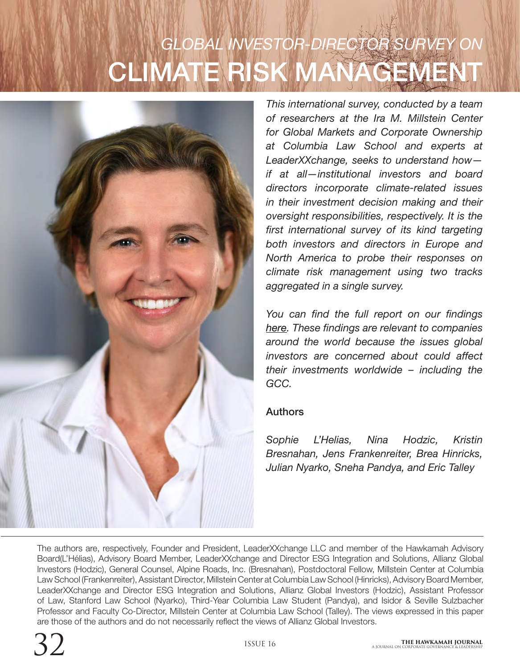# *GLOBAL INVESTOR-DIRECTOR SURVEY ON* CLIMATE RISK MANAGEMENT



*This international survey, conducted by a team of researchers at the Ira M. Millstein Center for Global Markets and Corporate Ownership at Columbia Law School and experts at LeaderXXchange, seeks to understand how if at all—institutional investors and board directors incorporate climate-related issues in their investment decision making and their oversight responsibilities, respectively. It is the first international survey of its kind targeting both investors and directors in Europe and North America to probe their responses on climate risk management using two tracks aggregated in a single survey.* 

*You can find the full report on our findings here. These findings are relevant to companies around the world because the issues global investors are concerned about could affect their investments worldwide – including the GCC.*

### Authors

*Sophie L'Helias, Nina Hodzic, Kristin Bresnahan, Jens Frankenreiter, Brea Hinricks, Julian Nyarko, Sneha Pandya, and Eric Talley*

The authors are, respectively, Founder and President, LeaderXXchange LLC and member of the Hawkamah Advisory Board(L'Hélias), Advisory Board Member, LeaderXXchange and Director ESG Integration and Solutions, Allianz Global Investors (Hodzic), General Counsel, Alpine Roads, Inc. (Bresnahan), Postdoctoral Fellow, Millstein Center at Columbia Law School (Frankenreiter), Assistant Director, Millstein Center at Columbia Law School (Hinricks), Advisory Board Member, LeaderXXchange and Director ESG Integration and Solutions, Allianz Global Investors (Hodzic), Assistant Professor of Law, Stanford Law School (Nyarko), Third-Year Columbia Law Student (Pandya), and Isidor & Seville Sulzbacher Professor and Faculty Co-Director, Millstein Center at Columbia Law School (Talley). The views expressed in this paper are those of the authors and do not necessarily reflect the views of Allianz Global Investors.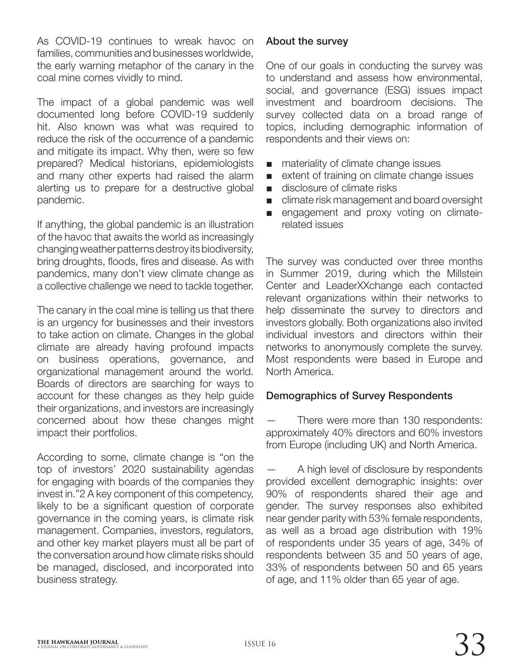As COVID-19 continues to wreak havoc on families, communities and businesses worldwide, the early warning metaphor of the canary in the coal mine comes vividly to mind.

The impact of a global pandemic was well documented long before COVID-19 suddenly hit. Also known was what was required to reduce the risk of the occurrence of a pandemic and mitigate its impact. Why then, were so few prepared? Medical historians, epidemiologists and many other experts had raised the alarm alerting us to prepare for a destructive global pandemic.

If anything, the global pandemic is an illustration of the havoc that awaits the world as increasingly changing weather patterns destroy its biodiversity, bring droughts, floods, fires and disease. As with pandemics, many don't view climate change as a collective challenge we need to tackle together.

The canary in the coal mine is telling us that there is an urgency for businesses and their investors to take action on climate. Changes in the global climate are already having profound impacts on business operations, governance, and organizational management around the world. Boards of directors are searching for ways to account for these changes as they help guide their organizations, and investors are increasingly concerned about how these changes might impact their portfolios.

According to some, climate change is "on the top of investors' 2020 sustainability agendas for engaging with boards of the companies they invest in."2 A key component of this competency, likely to be a significant question of corporate governance in the coming years, is climate risk management. Companies, investors, regulators, and other key market players must all be part of the conversation around how climate risks should be managed, disclosed, and incorporated into business strategy.

## About the survey

One of our goals in conducting the survey was to understand and assess how environmental, social, and governance (ESG) issues impact investment and boardroom decisions. The survey collected data on a broad range of topics, including demographic information of respondents and their views on:

- materiality of climate change issues
- extent of training on climate change issues
- disclosure of climate risks
- climate risk management and board oversight
- engagement and proxy voting on climaterelated issues

The survey was conducted over three months in Summer 2019, during which the Millstein Center and LeaderXXchange each contacted relevant organizations within their networks to help disseminate the survey to directors and investors globally. Both organizations also invited individual investors and directors within their networks to anonymously complete the survey. Most respondents were based in Europe and North America.

### Demographics of Survey Respondents

There were more than 130 respondents: approximately 40% directors and 60% investors from Europe (including UK) and North America.

A high level of disclosure by respondents provided excellent demographic insights: over 90% of respondents shared their age and gender. The survey responses also exhibited near gender parity with 53% female respondents, as well as a broad age distribution with 19% of respondents under 35 years of age, 34% of respondents between 35 and 50 years of age, 33% of respondents between 50 and 65 years of age, and 11% older than 65 year of age.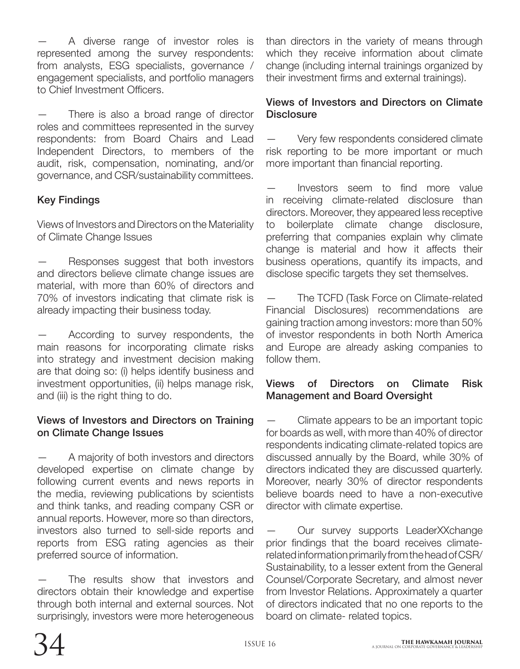A diverse range of investor roles is represented among the survey respondents: from analysts, ESG specialists, governance / engagement specialists, and portfolio managers to Chief Investment Officers.

There is also a broad range of director roles and committees represented in the survey respondents: from Board Chairs and Lead Independent Directors, to members of the audit, risk, compensation, nominating, and/or governance, and CSR/sustainability committees.

# Key Findings

Views of Investors and Directors on the Materiality of Climate Change Issues

Responses suggest that both investors and directors believe climate change issues are material, with more than 60% of directors and 70% of investors indicating that climate risk is already impacting their business today.

— According to survey respondents, the main reasons for incorporating climate risks into strategy and investment decision making are that doing so: (i) helps identify business and investment opportunities, (ii) helps manage risk, and (iii) is the right thing to do.

# Views of Investors and Directors on Training on Climate Change Issues

— A majority of both investors and directors developed expertise on climate change by following current events and news reports in the media, reviewing publications by scientists and think tanks, and reading company CSR or annual reports. However, more so than directors, investors also turned to sell-side reports and reports from ESG rating agencies as their preferred source of information.

The results show that investors and directors obtain their knowledge and expertise through both internal and external sources. Not surprisingly, investors were more heterogeneous than directors in the variety of means through which they receive information about climate change (including internal trainings organized by their investment firms and external trainings).

## Views of Investors and Directors on Climate **Disclosure**

Very few respondents considered climate risk reporting to be more important or much more important than financial reporting.

— Investors seem to find more value in receiving climate-related disclosure than directors. Moreover, they appeared less receptive to boilerplate climate change disclosure, preferring that companies explain why climate change is material and how it affects their business operations, quantify its impacts, and disclose specific targets they set themselves.

— The TCFD (Task Force on Climate-related Financial Disclosures) recommendations are gaining traction among investors: more than 50% of investor respondents in both North America and Europe are already asking companies to follow them.

# Views of Directors on Climate Risk Management and Board Oversight

Climate appears to be an important topic for boards as well, with more than 40% of director respondents indicating climate-related topics are discussed annually by the Board, while 30% of directors indicated they are discussed quarterly. Moreover, nearly 30% of director respondents believe boards need to have a non-executive director with climate expertise.

Our survey supports LeaderXXchange prior findings that the board receives climaterelated information primarily from the head of CSR/ Sustainability, to a lesser extent from the General Counsel/Corporate Secretary, and almost never from Investor Relations. Approximately a quarter of directors indicated that no one reports to the board on climate- related topics.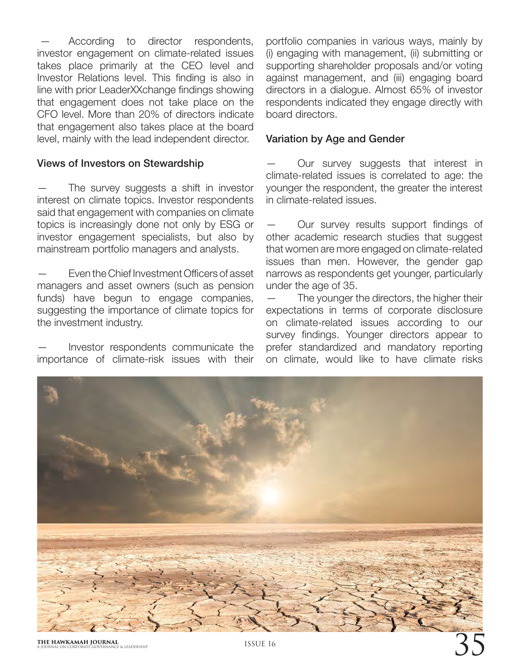According to director respondents, investor engagement on climate-related issues takes place primarily at the CEO level and Investor Relations level. This finding is also in line with prior LeaderXXchange findings showing that engagement does not take place on the CFO level. More than 20% of directors indicate that engagement also takes place at the board level, mainly with the lead independent director.

#### Views of Investors on Stewardship

The survey suggests a shift in investor interest on climate topics. Investor respondents said that engagement with companies on climate topics is increasingly done not only by ESG or investor engagement specialists, but also by mainstream portfolio managers and analysts.

— Even the Chief Investment Officers of asset managers and asset owners (such as pension funds) have begun to engage companies, suggesting the importance of climate topics for the investment industry.

— Investor respondents communicate the importance of climate-risk issues with their

portfolio companies in various ways, mainly by (i) engaging with management, (ii) submitting or supporting shareholder proposals and/or voting against management, and (iii) engaging board directors in a dialogue. Almost 65% of investor respondents indicated they engage directly with board directors.

#### Variation by Age and Gender

Our survey suggests that interest in climate-related issues is correlated to age: the younger the respondent, the greater the interest in climate-related issues.

Our survey results support findings of other academic research studies that suggest that women are more engaged on climate-related issues than men. However, the gender gap narrows as respondents get younger, particularly under the age of 35.

The younger the directors, the higher their expectations in terms of corporate disclosure on climate-related issues according to our survey findings. Younger directors appear to prefer standardized and mandatory reporting on climate, would like to have climate risks